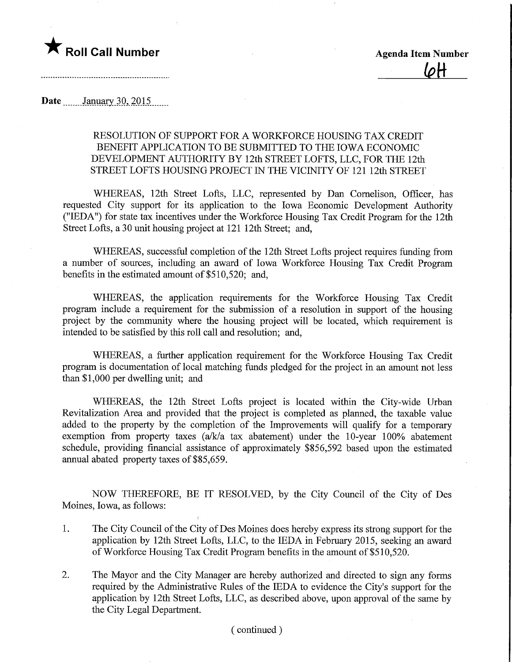

Date .......\_January.30,.2Q15.

## RESOLUTION OF SUPPORT FOR A WORKFORCE HOUSING TAX CREDIT BENEFIT APPLICATION TO BE SUBMITTED TO THE IOWA ECONOMIC DEVELOPMENT AUTHORITY BY 12th STREET LOFTS, LLC, FOR THE 12th STREET LOFTS HOUSING PROJECT IN THE VICINITY OF 121 12th STREET

WHEREAS, 12th Street Lofts, LLC, represented by Dan Comelison, Officer, has requested City support for its application to the Iowa Economic Development Authority ("IEDA") for state tax incentives under the Workforce Housing Tax Credit Program for the 12th Street Lofts, a 30 unit housing project at 121 12th Street; and,

WHEREAS, successful completion of the 12th Street Lofts project requires funding from a number of sources, including an award of Iowa Workforce Housing Tax Credit Program benefits in the estimated amount of \$510,520; and,

WHEREAS, the application requirements for the Workforce Housing Tax Credit program include a requirement for the submission of a resolution in support of the housing project by the community where the housing project will be located, which requirement is intended to be satisfied by this roll call and resolution; and,

WHEREAS, a further application requirement for the Workforce Housing Tax Credit program is documentation of local matching funds pledged for the project in an amount not less than \$1,000 per dwelling unit; and

WHEREAS, the 12th Street Lofts project is located within the City-wide Urban Revitalization Area and provided that the project is completed as planned, the taxable value added to the property by the completion of the Improvements will qualify for a temporary exemption from property taxes (a/k/a tax abatement) under the 10-year 100% abatement schedule, providing financial assistance of approximately \$856,592 based upon the estimated annual abated property taxes of \$85,659.

NOW THEREFORE, BE IT RESOLVED, by the City Council of the City of Des Moines, Iowa, as follows:

- 1. The City Council of the City of Des Moines does hereby express its strong support for the application by 12th Street Lofts, LLC, to the IEDA in February 2015, seekmg an award of Workforce Housing Tax Credit Program benefits in the amount of \$510,520.
- 2. The Mayor and the City Manager are hereby authorized and directed to sign any forms required by the Administrative Rules of the IEDA to evidence the City's support for the application by 12th Street Lofts, LLC, as described above, upon approval of the same by the City Legal Department.

## (continued)